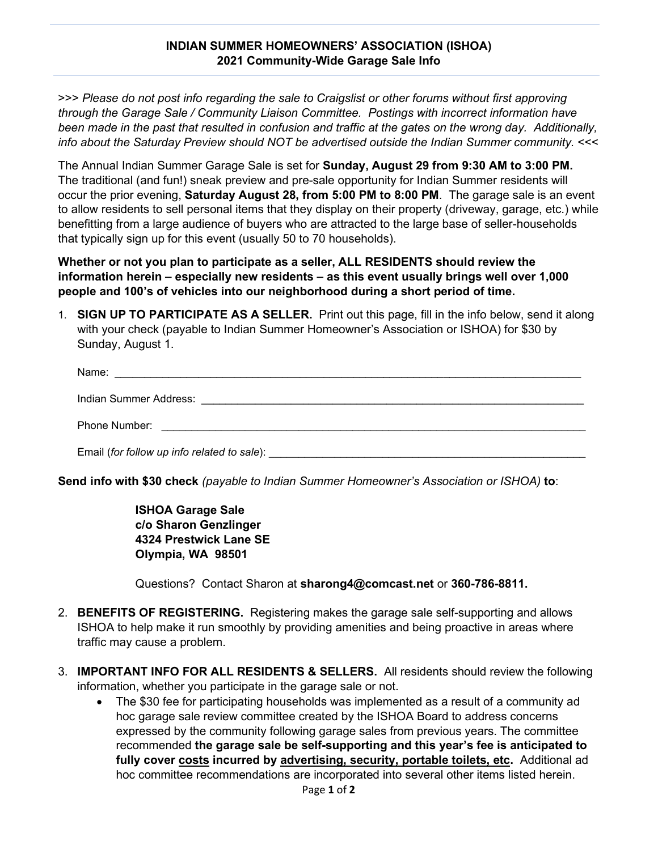## **INDIAN SUMMER HOMEOWNERS' ASSOCIATION (ISHOA) 2021 Community-Wide Garage Sale Info**

>>> *Please do not post info regarding the sale to Craigslist or other forums without first approving through the Garage Sale / Community Liaison Committee. Postings with incorrect information have been made in the past that resulted in confusion and traffic at the gates on the wrong day. Additionally, info about the Saturday Preview should NOT be advertised outside the Indian Summer community.* <<<

The Annual Indian Summer Garage Sale is set for **Sunday, August 29 from 9:30 AM to 3:00 PM.** The traditional (and fun!) sneak preview and pre-sale opportunity for Indian Summer residents will occur the prior evening, **Saturday August 28, from 5:00 PM to 8:00 PM**. The garage sale is an event to allow residents to sell personal items that they display on their property (driveway, garage, etc.) while benefitting from a large audience of buyers who are attracted to the large base of seller-households that typically sign up for this event (usually 50 to 70 households).

## **Whether or not you plan to participate as a seller, ALL RESIDENTS should review the information herein – especially new residents – as this event usually brings well over 1,000 people and 100's of vehicles into our neighborhood during a short period of time.**

1. **SIGN UP TO PARTICIPATE AS A SELLER.** Print out this page, fill in the info below, send it along with your check (payable to Indian Summer Homeowner's Association or ISHOA) for \$30 by Sunday, August 1.

| Name:<br><u> 1990 - Jan James James Jan James James James James James James James James James James James James James Jam</u> |
|-------------------------------------------------------------------------------------------------------------------------------|
|                                                                                                                               |
| Phone Number: <u>______________________</u>                                                                                   |
|                                                                                                                               |

**Send info with \$30 check** *(payable to Indian Summer Homeowner's Association or ISHOA)* **to**:

**ISHOA Garage Sale c/o Sharon Genzlinger 4324 Prestwick Lane SE Olympia, WA 98501**

Questions? Contact Sharon at **[sharong4@comcast.net](mailto:sharong4@comcast.net)** or **360-786-8811.**

- 2. **BENEFITS OF REGISTERING.** Registering makes the garage sale self-supporting and allows ISHOA to help make it run smoothly by providing amenities and being proactive in areas where traffic may cause a problem.
- 3. **IMPORTANT INFO FOR ALL RESIDENTS & SELLERS.** All residents should review the following information, whether you participate in the garage sale or not.
	- The \$30 fee for participating households was implemented as a result of a community ad hoc garage sale review committee created by the ISHOA Board to address concerns expressed by the community following garage sales from previous years. The committee recommended **the garage sale be self-supporting and this year's fee is anticipated to fully cover costs incurred by advertising, security, portable toilets, etc.** Additional ad hoc committee recommendations are incorporated into several other items listed herein.